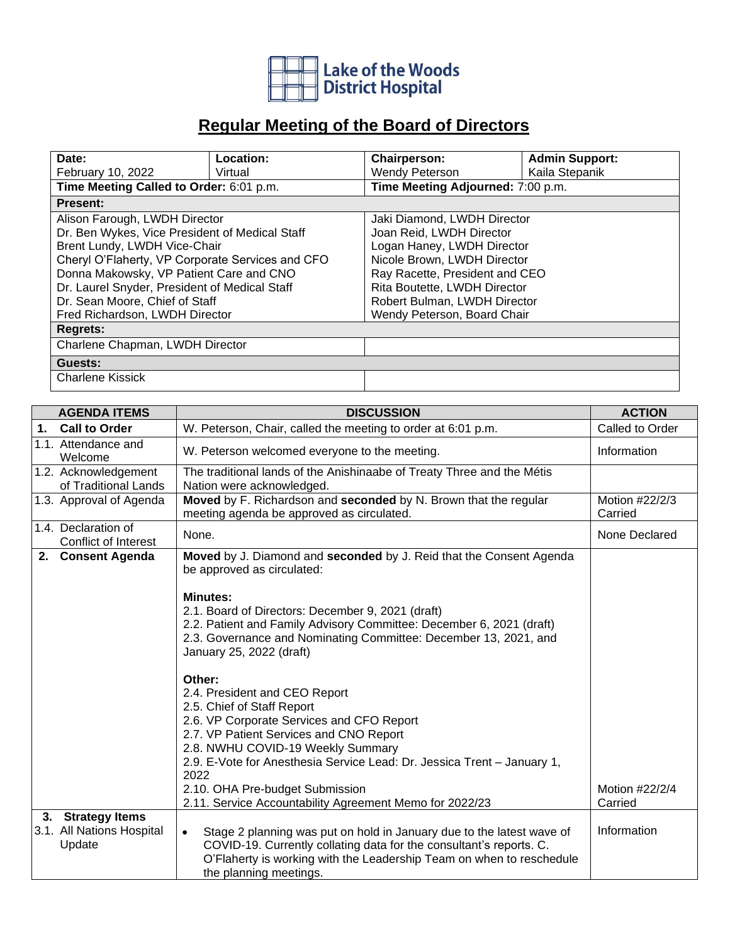

## **Regular Meeting of the Board of Directors**

| Date:                                            | Location: | <b>Chairperson:</b>               | <b>Admin Support:</b> |  |  |
|--------------------------------------------------|-----------|-----------------------------------|-----------------------|--|--|
| February 10, 2022                                | Virtual   | Wendy Peterson                    | Kaila Stepanik        |  |  |
| Time Meeting Called to Order: 6:01 p.m.          |           | Time Meeting Adjourned: 7:00 p.m. |                       |  |  |
| <b>Present:</b>                                  |           |                                   |                       |  |  |
| Alison Farough, LWDH Director                    |           | Jaki Diamond, LWDH Director       |                       |  |  |
| Dr. Ben Wykes, Vice President of Medical Staff   |           | Joan Reid, LWDH Director          |                       |  |  |
| Brent Lundy, LWDH Vice-Chair                     |           | Logan Haney, LWDH Director        |                       |  |  |
| Cheryl O'Flaherty, VP Corporate Services and CFO |           | Nicole Brown, LWDH Director       |                       |  |  |
| Donna Makowsky, VP Patient Care and CNO          |           | Ray Racette, President and CEO    |                       |  |  |
| Dr. Laurel Snyder, President of Medical Staff    |           | Rita Boutette, LWDH Director      |                       |  |  |
| Dr. Sean Moore, Chief of Staff                   |           | Robert Bulman, LWDH Director      |                       |  |  |
| Fred Richardson, LWDH Director                   |           | Wendy Peterson, Board Chair       |                       |  |  |
| <b>Regrets:</b>                                  |           |                                   |                       |  |  |
| Charlene Chapman, LWDH Director                  |           |                                   |                       |  |  |
| Guests:                                          |           |                                   |                       |  |  |
| <b>Charlene Kissick</b>                          |           |                                   |                       |  |  |

|    | <b>AGENDA ITEMS</b><br><b>DISCUSSION</b>                 |                                                                                                                                                                                                                                                                                                                                                                                     | <b>ACTION</b>             |
|----|----------------------------------------------------------|-------------------------------------------------------------------------------------------------------------------------------------------------------------------------------------------------------------------------------------------------------------------------------------------------------------------------------------------------------------------------------------|---------------------------|
| 1. | <b>Call to Order</b>                                     | W. Peterson, Chair, called the meeting to order at 6:01 p.m.                                                                                                                                                                                                                                                                                                                        | Called to Order           |
|    | 1.1. Attendance and<br>Welcome                           | W. Peterson welcomed everyone to the meeting.                                                                                                                                                                                                                                                                                                                                       | Information               |
|    | 1.2. Acknowledgement<br>of Traditional Lands             | The traditional lands of the Anishinaabe of Treaty Three and the Métis<br>Nation were acknowledged.                                                                                                                                                                                                                                                                                 |                           |
|    | 1.3. Approval of Agenda                                  | Moved by F. Richardson and seconded by N. Brown that the regular<br>meeting agenda be approved as circulated.                                                                                                                                                                                                                                                                       | Motion #22/2/3<br>Carried |
|    | 1.4. Declaration of<br>Conflict of Interest              | None.                                                                                                                                                                                                                                                                                                                                                                               | None Declared             |
|    | 2. Consent Agenda                                        | Moved by J. Diamond and seconded by J. Reid that the Consent Agenda<br>be approved as circulated:                                                                                                                                                                                                                                                                                   |                           |
|    |                                                          | <b>Minutes:</b><br>2.1. Board of Directors: December 9, 2021 (draft)<br>2.2. Patient and Family Advisory Committee: December 6, 2021 (draft)<br>2.3. Governance and Nominating Committee: December 13, 2021, and<br>January 25, 2022 (draft)                                                                                                                                        |                           |
|    |                                                          | Other:<br>2.4. President and CEO Report<br>2.5. Chief of Staff Report<br>2.6. VP Corporate Services and CFO Report<br>2.7. VP Patient Services and CNO Report<br>2.8. NWHU COVID-19 Weekly Summary<br>2.9. E-Vote for Anesthesia Service Lead: Dr. Jessica Trent - January 1,<br>2022<br>2.10. OHA Pre-budget Submission<br>2.11. Service Accountability Agreement Memo for 2022/23 | Motion #22/2/4<br>Carried |
|    | 3. Strategy Items<br>3.1. All Nations Hospital<br>Update | Stage 2 planning was put on hold in January due to the latest wave of<br>$\bullet$<br>COVID-19. Currently collating data for the consultant's reports. C.<br>O'Flaherty is working with the Leadership Team on when to reschedule<br>the planning meetings.                                                                                                                         | Information               |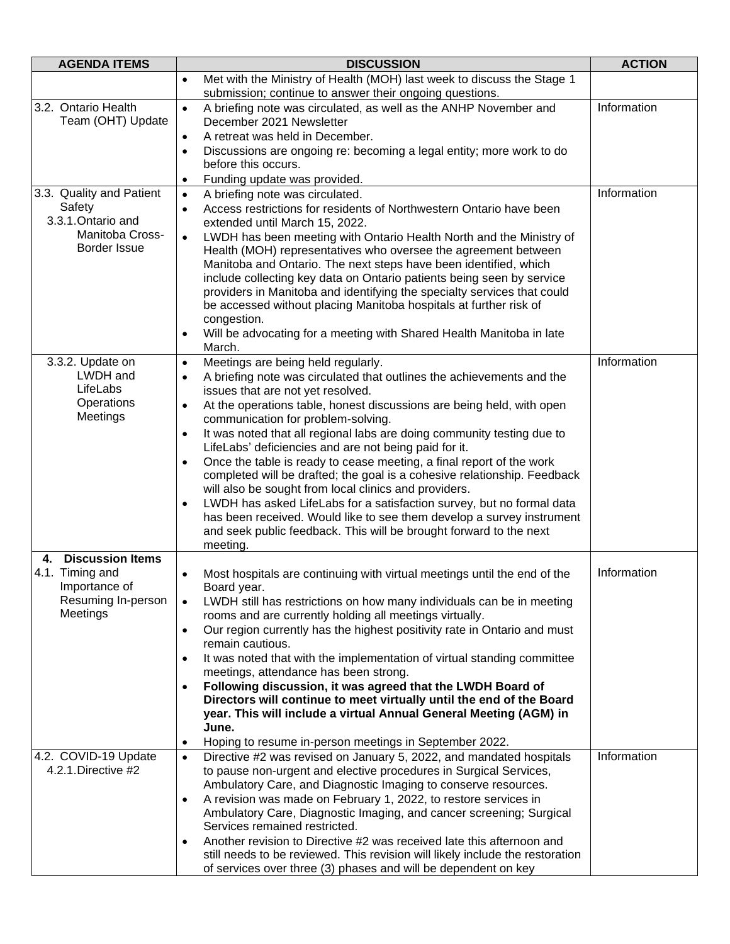| <b>AGENDA ITEMS</b>                         | <b>DISCUSSION</b>                                                                                                                                                   | <b>ACTION</b> |
|---------------------------------------------|---------------------------------------------------------------------------------------------------------------------------------------------------------------------|---------------|
|                                             | Met with the Ministry of Health (MOH) last week to discuss the Stage 1<br>$\bullet$<br>submission; continue to answer their ongoing questions.                      |               |
| 3.2. Ontario Health                         | A briefing note was circulated, as well as the ANHP November and<br>$\bullet$                                                                                       | Information   |
| Team (OHT) Update                           | December 2021 Newsletter<br>A retreat was held in December.                                                                                                         |               |
|                                             | $\bullet$<br>Discussions are ongoing re: becoming a legal entity; more work to do<br>$\bullet$                                                                      |               |
|                                             | before this occurs.                                                                                                                                                 |               |
|                                             | Funding update was provided.<br>$\bullet$                                                                                                                           |               |
| 3.3. Quality and Patient                    | A briefing note was circulated.<br>$\bullet$                                                                                                                        | Information   |
| Safety<br>3.3.1. Ontario and                | Access restrictions for residents of Northwestern Ontario have been<br>$\bullet$                                                                                    |               |
| Manitoba Cross-                             | extended until March 15, 2022.<br>LWDH has been meeting with Ontario Health North and the Ministry of<br>$\bullet$                                                  |               |
| Border Issue                                | Health (MOH) representatives who oversee the agreement between                                                                                                      |               |
|                                             | Manitoba and Ontario. The next steps have been identified, which                                                                                                    |               |
|                                             | include collecting key data on Ontario patients being seen by service                                                                                               |               |
|                                             | providers in Manitoba and identifying the specialty services that could<br>be accessed without placing Manitoba hospitals at further risk of                        |               |
|                                             | congestion.                                                                                                                                                         |               |
|                                             | Will be advocating for a meeting with Shared Health Manitoba in late<br>$\bullet$                                                                                   |               |
|                                             | March.                                                                                                                                                              |               |
| 3.3.2. Update on<br>LWDH and                | Meetings are being held regularly.<br>$\bullet$                                                                                                                     | Information   |
| LifeLabs                                    | A briefing note was circulated that outlines the achievements and the<br>$\bullet$<br>issues that are not yet resolved.                                             |               |
| Operations                                  | At the operations table, honest discussions are being held, with open<br>$\bullet$                                                                                  |               |
| Meetings                                    | communication for problem-solving.                                                                                                                                  |               |
|                                             | It was noted that all regional labs are doing community testing due to<br>$\bullet$                                                                                 |               |
|                                             | LifeLabs' deficiencies and are not being paid for it.<br>Once the table is ready to cease meeting, a final report of the work<br>$\bullet$                          |               |
|                                             | completed will be drafted; the goal is a cohesive relationship. Feedback                                                                                            |               |
|                                             | will also be sought from local clinics and providers.                                                                                                               |               |
|                                             | LWDH has asked LifeLabs for a satisfaction survey, but no formal data<br>$\bullet$                                                                                  |               |
|                                             | has been received. Would like to see them develop a survey instrument<br>and seek public feedback. This will be brought forward to the next                         |               |
|                                             | meeting.                                                                                                                                                            |               |
| <b>Discussion Items</b><br>4.               |                                                                                                                                                                     |               |
| 4.1. Timing and<br>Importance of            | Most hospitals are continuing with virtual meetings until the end of the<br>$\bullet$                                                                               | Information   |
| Resuming In-person                          | Board year.<br>LWDH still has restrictions on how many individuals can be in meeting<br>$\bullet$                                                                   |               |
| Meetings                                    | rooms and are currently holding all meetings virtually.                                                                                                             |               |
|                                             | Our region currently has the highest positivity rate in Ontario and must<br>$\bullet$<br>remain cautious.                                                           |               |
|                                             | It was noted that with the implementation of virtual standing committee<br>$\bullet$                                                                                |               |
|                                             | meetings, attendance has been strong.                                                                                                                               |               |
|                                             | Following discussion, it was agreed that the LWDH Board of<br>$\bullet$<br>Directors will continue to meet virtually until the end of the Board                     |               |
|                                             | year. This will include a virtual Annual General Meeting (AGM) in                                                                                                   |               |
|                                             | June.                                                                                                                                                               |               |
|                                             | Hoping to resume in-person meetings in September 2022.<br>$\bullet$                                                                                                 |               |
| 4.2. COVID-19 Update<br>4.2.1. Directive #2 | Directive #2 was revised on January 5, 2022, and mandated hospitals<br>$\bullet$                                                                                    | Information   |
|                                             | to pause non-urgent and elective procedures in Surgical Services,<br>Ambulatory Care, and Diagnostic Imaging to conserve resources.                                 |               |
|                                             | A revision was made on February 1, 2022, to restore services in<br>$\bullet$                                                                                        |               |
|                                             | Ambulatory Care, Diagnostic Imaging, and cancer screening; Surgical                                                                                                 |               |
|                                             | Services remained restricted.                                                                                                                                       |               |
|                                             | Another revision to Directive #2 was received late this afternoon and<br>$\bullet$<br>still needs to be reviewed. This revision will likely include the restoration |               |
|                                             | of services over three (3) phases and will be dependent on key                                                                                                      |               |